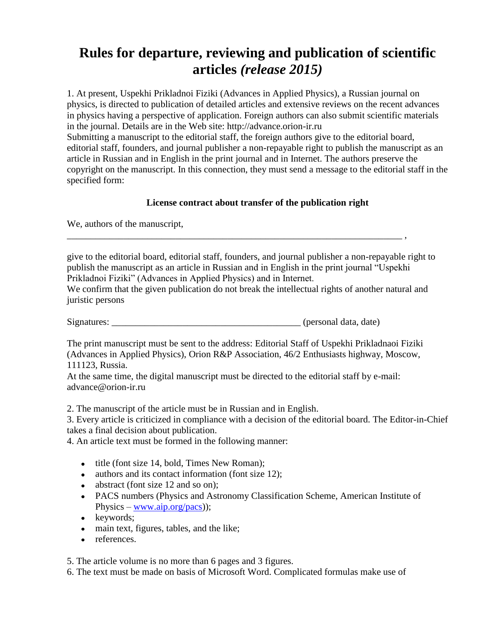## **Rules for departure, reviewing and publication of scientific articles** *(release 2015)*

1. At present, Uspekhi Prikladnoi Fiziki (Advances in Applied Physics), a Russian journal on physics, is directed to publication of detailed articles and extensive reviews on the recent advances in physics having a perspective of application. Foreign authors can also submit scientific materials in the journal. Details are in the Web site: http://advance.orion-ir.ru Submitting a manuscript to the editorial staff, the foreign authors give to the editorial board, editorial staff, founders, and journal publisher a non-repayable right to publish the manuscript as an article in Russian and in English in the print journal and in Internet. The authors preserve the copyright on the manuscript. In this connection, they must send a message to the editorial staff in the specified form:

## **License contract about transfer of the publication right**

We, authors of the manuscript,

give to the editorial board, editorial staff, founders, and journal publisher a non-repayable right to publish the manuscript as an article in Russian and in English in the print journal "Uspekhi Prikladnoi Fiziki" (Advances in Applied Physics) and in Internet.

\_\_\_\_\_\_\_\_\_\_\_\_\_\_\_\_\_\_\_\_\_\_\_\_\_\_\_\_\_\_\_\_\_\_\_\_\_\_\_\_\_\_\_\_\_\_\_\_\_\_\_\_\_\_\_\_\_\_\_\_\_\_\_\_\_\_\_\_\_\_\_ ,

We confirm that the given publication do not break the intellectual rights of another natural and juristic persons

Signatures: \_\_\_\_\_\_\_\_\_\_\_\_\_\_\_\_\_\_\_\_\_\_\_\_\_\_\_\_\_\_\_\_\_\_\_\_\_\_\_\_ (personal data, date)

The print manuscript must be sent to the address: Editorial Staff of Uspekhi Prikladnaoi Fiziki (Advances in Applied Physics), Orion R&P Association, 46/2 Enthusiasts highway, Moscow, 111123, Russia.

At the same time, the digital manuscript must be directed to the editorial staff by e-mail: advance@orion-ir.ru

2. The manuscript of the article must be in Russian and in English.

3. Every article is criticized in compliance with a decision of the editorial board. The Editor-in-Chief takes a final decision about publication.

4. An article text must be formed in the following manner:

- title (font size 14, bold, Times New Roman);
- authors and its contact information (font size 12);  $\bullet$
- abstract (font size 12 and so on);
- PACS numbers (Physics and Astronomy Classification Scheme, American Institute of Physics – [www.aip.org/pacs\)](http://www.aip.org/pacs));
- keywords;
- main text, figures, tables, and the like;  $\bullet$
- references.

5. The article volume is no more than 6 pages and 3 figures.

6. The text must be made on basis of Microsoft Word. Complicated formulas make use of